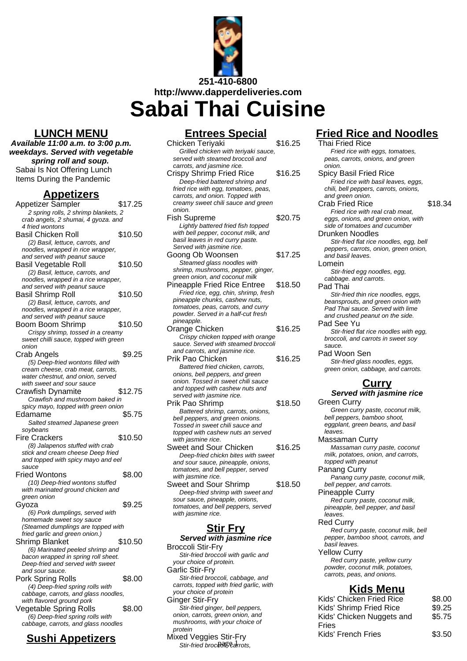

#### **LUNCH MENU**

**Available 11:00 a.m. to 3:00 p.m. weekdays. Served with vegetable spring roll and soup.** Sabai Is Not Offering Lunch Items During the Pandemic

#### **Appetizers**

Appetizer Sampler \$17.25 2 spring rolls, 2 shrimp blankets, 2 crab angels, 2 shumai, 4 gyoza. and 4 fried wontons Basil Chicken Roll \$10.50 (2) Basil, lettuce, carrots, and noodles, wrapped in rice wrapper, and served with peanut sauce Basil Vegetable Roll \$10.50 (2) Basil, lettuce, carrots, and noodles, wrapped in a rice wrapper, and served with peanut sauce Basil Shrimp Roll \$10.50 (2) Basil, lettuce, carrots, and noodles, wrapped in a rice wrapper, and served with peanut sauce Boom Boom Shrimp \$10.50 Crispy shrimp, tossed in a creamy sweet chilli sauce, topped with green onion Crab Angels \$9.25 (5) Deep-fried wontons filled with cream cheese, crab meat, carrots, water chestnut, and onion, served with sweet and sour sauce Crawfish Dynamite \$12.75 Crawfish and mushroom baked in spicy mayo, topped with green onion Edamame \$5.75 Salted steamed Japanese green soybeans Fire Crackers \$10.50 (8) Jalapenos stuffed with crab stick and cream cheese Deep fried and topped with spicy mayo and eel sauce Fried Wontons \$8.00 (10) Deep-fried wontons stuffed with marinated ground chicken and green onion Gyoza \$9.25 (6) Pork dumplings, served with homemade sweet soy sauce (Steamed dumplings are topped with fried garlic and green onion.) Shrimp Blanket \$10.50 (6) Marinated peeled shrimp and bacon wrapped in spring roll sheet. Deep-fried and served with sweet and sour sauce. Pork Spring Rolls \$8.00 (4) Deep-fried spring rolls with cabbage, carrots, and glass noodles, with flavored ground pork Vegetable Spring Rolls \$8.00 (6) Deep-fried spring rolls with cabbage, carrots, and glass noodles

# **Sushi Appetizers**

| <u>Entrees Special</u>                                                  |         |
|-------------------------------------------------------------------------|---------|
| Chicken Teriyaki                                                        | \$16.25 |
| Grilled chicken with teriyaki sauce,                                    |         |
| served with steamed broccoli and                                        |         |
| carrots, and jasmine rice.                                              |         |
| <b>Crispy Shrimp Fried Rice</b>                                         | \$16.25 |
| Deep-fried battered shrimp and<br>fried rice with egg, tomatoes, peas,  |         |
| carrots, and onion. Topped with                                         |         |
| creamy sweet chili sauce and green                                      |         |
| onion.                                                                  |         |
| Fish Supreme                                                            | \$20.75 |
| Lightly battered fried fish topped                                      |         |
| with bell pepper, coconut milk, and<br>basil leaves in red curry paste. |         |
| Served with jasmine rice.                                               |         |
| Goong Ob Woonsen                                                        | \$17.25 |
| Steamed glass noodles with                                              |         |
| shrimp, mushrooms, pepper, ginger,                                      |         |
| green onion, and coconut milk                                           |         |
| <b>Pineapple Fried Rice Entree</b>                                      | \$18.50 |
| Fried rice, egg, chin, shrimp, fresh<br>pineapple chunks, cashew nuts,  |         |
| tomatoes, peas, carrots, and curry                                      |         |
| powder. Served in a half-cut fresh                                      |         |
| pineapple.                                                              |         |
| Orange Chicken                                                          | \$16.25 |
| Crispy chicken topped with orange                                       |         |
| sauce. Served with steamed broccoli<br>and carrots, and jasmine rice.   |         |
| Prik Pao Chicken                                                        | \$16.25 |
| Battered fried chicken, carrots,                                        |         |
| onions, bell peppers, and green                                         |         |
| onion. Tossed in sweet chili sauce                                      |         |
| and topped with cashew nuts and                                         |         |
| served with jasmine rice.<br>Prik Pao Shrimp                            | \$18.50 |
| Battered shrimp, carrots, onions,                                       |         |
| bell peppers, and green onions.                                         |         |
| Tossed in sweet chili sauce and                                         |         |
| topped with cashew nuts an served                                       |         |
| with jasmine rice.                                                      | \$16.25 |
| Sweet and Sour Chicken<br>Deep-fried chickn bites with sweet            |         |
| and sour sauce, pineapple, onions,                                      |         |
| tomatoes, and bell pepper, served                                       |         |
| with jasmine rice.                                                      |         |
| <b>Sweet and Sour Shrimp</b>                                            | \$18.50 |
| Deep-fried shrimp with sweet and                                        |         |
| sour sauce, pineapple, onions,<br>tomatoes, and bell peppers, served    |         |
| with jasmine rice.                                                      |         |
|                                                                         |         |
| <b>Stir Fry</b><br>Served with jasmine rice                             |         |
|                                                                         |         |
| <b>Broccoli Stir-Fry</b>                                                |         |
| Stir-fried broccoli with garlic and                                     |         |
| your choice of protein.<br>Garlic Stir-Fry                              |         |
|                                                                         |         |

Stir-fried broccoli, cabbage, and carrots, topped with fried garlic, with your choice of protein Ginger Stir-Fry Stir-fried ginger, bell peppers,

onion, carrots, green onion, and mushrooms, with your choice of protein

Mixed Veggies Stir-Fry Stir-fried broce of Edrrots,

## **Fried Rice and Noodles**

Thai Fried Rice Fried rice with eggs, tomatoes, peas, carrots, onions, and green onion. Spicy Basil Fried Rice **Fried rice with basil leaves, eggs,** chili, bell peppers, carrots, onions, and green onion. Crab Fried Rice \$18.34 Fried rice with real crab meat, eggs, onions, and green onion, with side of tomatoes and cucumber Drunken Noodles Stir-fried flat rice noodles, egg, bell peppers, carrots, onion, green onion, and basil leaves. Lomein Stir-fried egg noodles, egg, cabbage. and carrots. Pad Thai Stir-fried thin rice noodles, eggs, beansprouts, and green onion with Pad Thai sauce. Served with lime and crushed peanut on the side. Pad See Yu Stir-fried flat rice noodles with egg, broccoli, and carrots in sweet soy sauce. Pad Woon Sen Stir-fried glass noodles, eggs, green onion, cabbage, and carrots. **Curry Served with jasmine rice** Green Curry Green curry paste, coconut milk, bell peppers, bamboo shoot, eggplant, green beans, and basil leaves. Massaman Curry Massaman curry paste, coconut milk, potatoes, onion, and carrots, topped with peanut Panang Curry Panang curry paste, coconut milk, bell pepper, and carrots. Pineapple Curry Red curry paste, coconut milk, pineapple, bell pepper, and basil leaves. Red Curry Red curry paste, coconut milk, bell pepper, bamboo shoot, carrots, and basil leaves. Yellow Curry Red curry paste, yellow curry powder, coconut milk, potatoes, carrots, peas, and onions. **Kids Menu** Kids' Chicken Fried Rice \$8.00 Kids' Shrimp Fried Rice \$9.25 Kids' Chicken Nuggets and Fries \$5.75

Kids' French Fries \$3.50